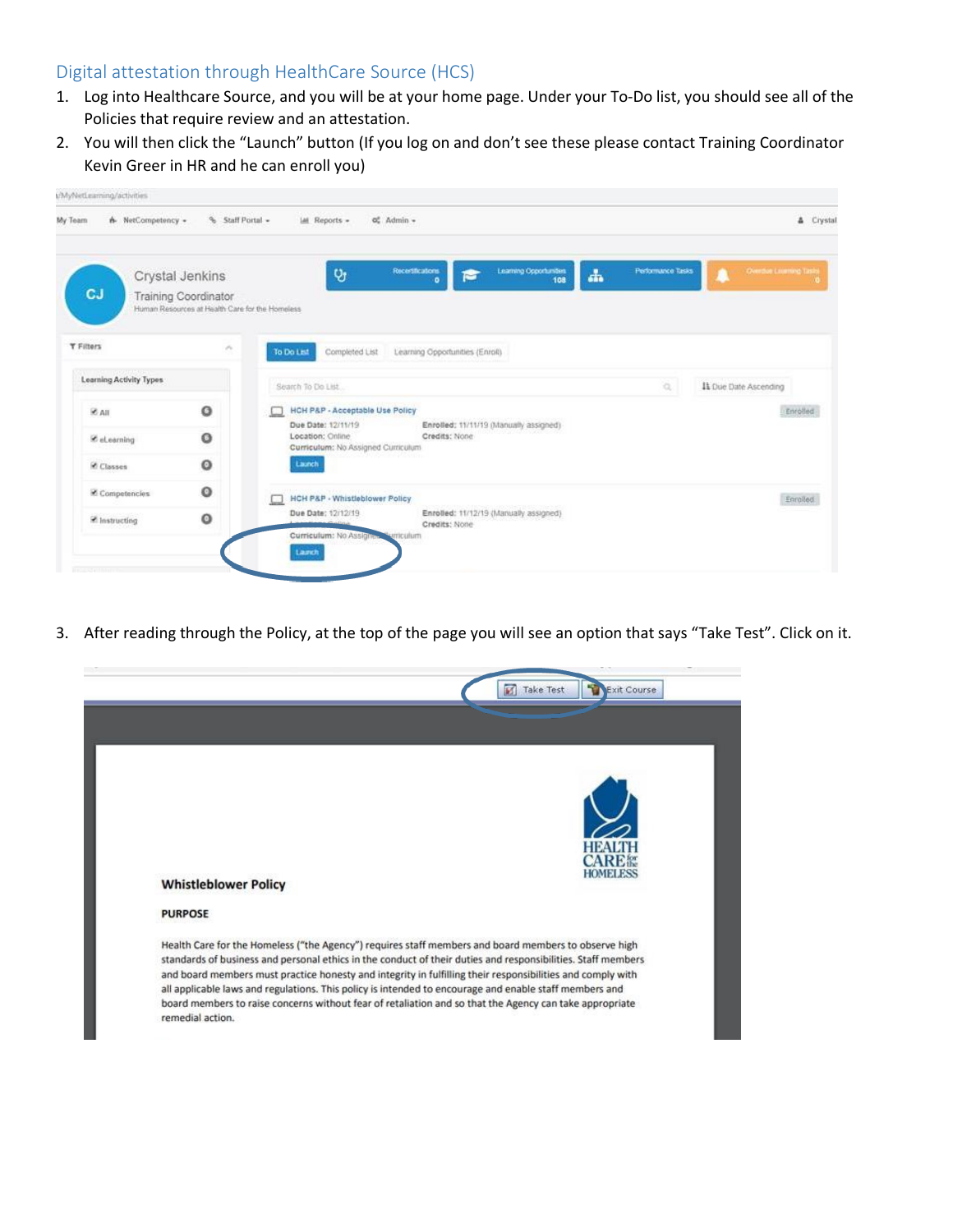## Digital attestation through HealthCare Source (HCS)

- 1. Log into Healthcare Source, and you will be at your home page. Under your To-Do list, you should see all of the Policies that require review and an attestation.
- 2. You will then click the "Launch" button (If you log on and don't see these please contact Training Coordinator Kevin Greer in HR and he can enroll you)

| My Team<br>h- NetCompetency - | % Staff Portal -                                                                                  | oč Admin -<br>IAI Reports -                                                  |                                                              |                                              | & Crystal                    |
|-------------------------------|---------------------------------------------------------------------------------------------------|------------------------------------------------------------------------------|--------------------------------------------------------------|----------------------------------------------|------------------------------|
| <b>CJ</b>                     | Crystal Jenkins<br><b>Training Coordinator</b><br>Human Resources at Health Care for the Homeless | $Q_3$                                                                        | <b>Recessituations</b><br>Learning Opportunities<br>108<br>۰ | Performance Tasks<br>$\frac{1}{\sin \theta}$ | <b>Deerdue Licensed Task</b> |
| <b>Y Filters</b>              | $\mathcal{S}_n$                                                                                   | Completed List<br>To Do Let                                                  | Learning Opportunities (Enroll)                              |                                              |                              |
| Learning Activity Types       |                                                                                                   | Search To Do List.                                                           |                                                              | $\alpha$                                     | It Oue Date Ascending        |
| <b>E</b> All                  | O                                                                                                 | HCH P&P - Acceptable Use Policy                                              |                                                              |                                              | Enrolled                     |
| C eLearning                   | o                                                                                                 | Due Date: 12/11/19<br>Location: Online<br>Curricutum: No Assigned Curriculum | Enrolled: 11/11/19 (Manually assigned)<br>Credits: None      |                                              |                              |
| Classes                       | o                                                                                                 | Launch                                                                       |                                                              |                                              |                              |
| Competencies                  | o                                                                                                 | <b>HCH P&amp;P - Whistleblower Policy</b>                                    |                                                              |                                              | Enrolled                     |
| P Instructing                 | ۰                                                                                                 | Due Date: 12/12/19<br>Curriculum: No Assigner Curriculum<br>Launch           | Enrolled: 11/12/19 (Manually assigned)<br>Credits: None      |                                              |                              |

3. After reading through the Policy, at the top of the page you will see an option that says "Take Test". Click on it.

| <b>Whistleblower Policy</b> | HOMELES                                                                                                                                                                                                                                                                                                                                                                                                                                                                                                                                                 |
|-----------------------------|---------------------------------------------------------------------------------------------------------------------------------------------------------------------------------------------------------------------------------------------------------------------------------------------------------------------------------------------------------------------------------------------------------------------------------------------------------------------------------------------------------------------------------------------------------|
| <b>PURPOSE</b>              |                                                                                                                                                                                                                                                                                                                                                                                                                                                                                                                                                         |
| remedial action.            | Health Care for the Homeless ("the Agency") requires staff members and board members to observe high<br>standards of business and personal ethics in the conduct of their duties and responsibilities. Staff members<br>and board members must practice honesty and integrity in fulfilling their responsibilities and comply with<br>all applicable laws and regulations. This policy is intended to encourage and enable staff members and<br>board members to raise concerns without fear of retaliation and so that the Agency can take appropriate |